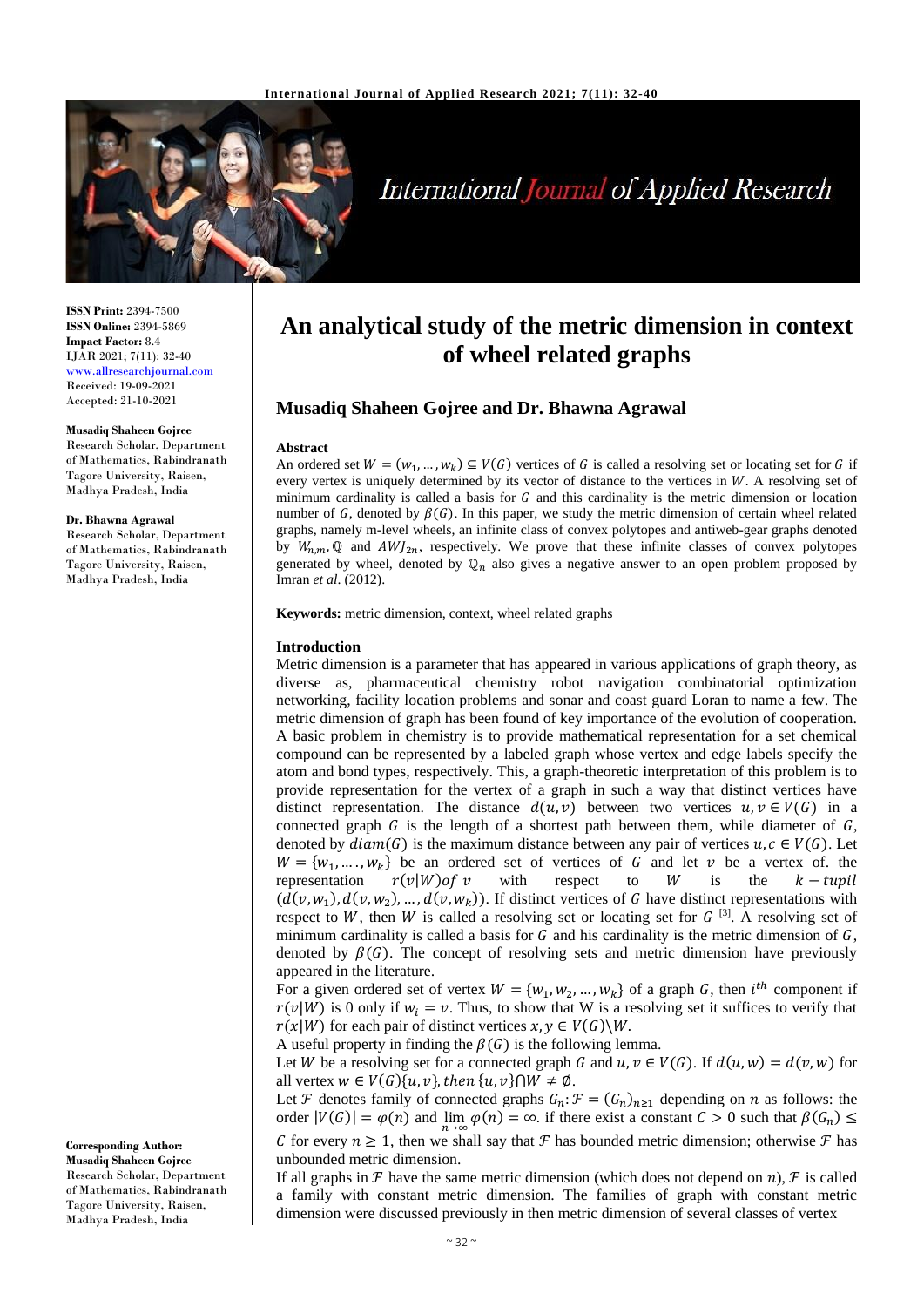

# **International Journal of Applied Research**

**ISSN Print:** 2394-7500 **ISSN Online:** 2394-5869 **Impact Factor:** 8.4 IJAR 2021; 7(11): 32-40 <www.allresearchjournal.com> Received: 19-09-2021 Accepted: 21-10-2021

#### **Musadiq Shaheen Gojree** Research Scholar, Department of Mathematics, Rabindranath Tagore University, Raisen, Madhya Pradesh, India

**Dr. Bhawna Agrawal**

Research Scholar, Department of Mathematics, Rabindranath Tagore University, Raisen, Madhya Pradesh, India

**Corresponding Author: Musadiq Shaheen Gojree** Research Scholar, Department of Mathematics, Rabindranath

Tagore University, Raisen, Madhya Pradesh, India

# **An analytical study of the metric dimension in context of wheel related graphs**

## **Musadiq Shaheen Gojree and Dr. Bhawna Agrawal**

#### **Abstract**

An ordered set  $W = (w_1, ..., w_k) \subseteq V(G)$  vertices of G is called a resolving set or locating set for G if every vertex is uniquely determined by its vector of distance to the vertices in W. A resolving set of minimum cardinality is called a basis for  $G$  and this cardinality is the metric dimension or location number of G, denoted by  $\beta(G)$ . In this paper, we study the metric dimension of certain wheel related graphs, namely m-level wheels, an infinite class of convex polytopes and antiweb-gear graphs denoted by  $W_{n,m}$  Q and  $AWJ_{2n}$ , respectively. We prove that these infinite classes of convex polytopes generated by wheel, denoted by  $\mathbb{Q}_n$  also gives a negative answer to an open problem proposed by Imran *et al*. (2012).

**Keywords:** metric dimension, context, wheel related graphs

#### **Introduction**

Metric dimension is a parameter that has appeared in various applications of graph theory, as diverse as, pharmaceutical chemistry robot navigation combinatorial optimization networking, facility location problems and sonar and coast guard Loran to name a few. The metric dimension of graph has been found of key importance of the evolution of cooperation. A basic problem in chemistry is to provide mathematical representation for a set chemical compound can be represented by a labeled graph whose vertex and edge labels specify the atom and bond types, respectively. This, a graph-theoretic interpretation of this problem is to provide representation for the vertex of a graph in such a way that distinct vertices have distinct representation. The distance  $d(u, v)$  between two vertices  $u, v \in V(G)$  in a connected graph  $G$  is the length of a shortest path between them, while diameter of  $G$ , denoted by  $diam(G)$  is the maximum distance between any pair of vertices  $u, c \in V(G)$ . Let  $W = \{w_1, \dots, w_k\}$  be an ordered set of vertices of G and let v be a vertex of. the representation  $r(v|W)$  of v with respect to W is the  $k - t u v i l$  $(d(v, w_1), d(v, w_2), ..., d(v, w_k))$ . If distinct vertices of G have distinct representations with respect to W, then W is called a resolving set or locating set for  $G$  [3]. A resolving set of minimum cardinality is called a basis for  $G$  and his cardinality is the metric dimension of  $G$ , denoted by  $\beta(G)$ . The concept of resolving sets and metric dimension have previously appeared in the literature.

For a given ordered set of vertex  $W = \{w_1, w_2, ..., w_k\}$  of a graph G, then  $i^{th}$  component if  $r(v|W)$  is 0 only if  $w_i = v$ . Thus, to show that W is a resolving set it suffices to verify that  $r(x|W)$  for each pair of distinct vertices  $x, y \in V(G)\backslash W$ .

A useful property in finding the  $\beta(G)$  is the following lemma.

Let W be a resolving set for a connected graph G and  $u, v \in V(G)$ . If  $d(u, w) = d(v, w)$  for all vertex  $w \in V(G)\{u, v\}$ , then  $\{u, v\} \cap W \neq \emptyset$ .

Let *F* denotes family of connected graphs  $G_n: \mathcal{F} = (G_n)_{n \geq 1}$  depending on *n* as follows: the order  $|V(G)| = \varphi(n)$  and  $\lim_{n \to \infty} \varphi(n) = \infty$ . if there exist a constant  $C > 0$  such that  $\beta(G_n) \leq$ C for every  $n \geq 1$ , then we shall say that  $\mathcal F$  has bounded metric dimension; otherwise  $\mathcal F$  has unbounded metric dimension.

If all graphs in  $\mathcal F$  have the same metric dimension (which does not depend on  $n$ ),  $\mathcal F$  is called a family with constant metric dimension. The families of graph with constant metric dimension were discussed previously in then metric dimension of several classes of vertex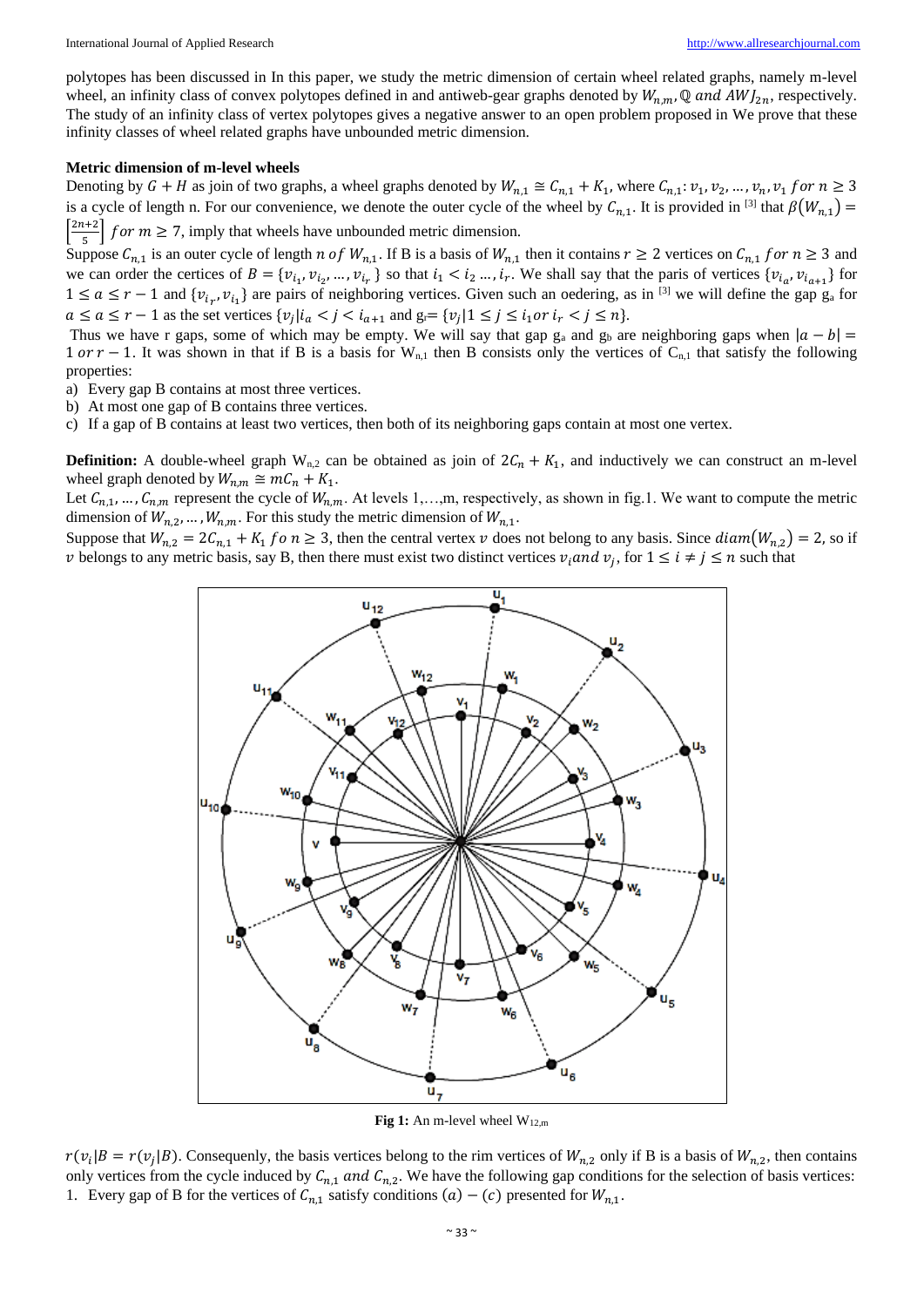polytopes has been discussed in In this paper, we study the metric dimension of certain wheel related graphs, namely m-level wheel, an infinity class of convex polytopes defined in and antiweb-gear graphs denoted by  $W_{n,m}$ , Q and  $AWJ_{2n}$ , respectively. The study of an infinity class of vertex polytopes gives a negative answer to an open problem proposed in We prove that these infinity classes of wheel related graphs have unbounded metric dimension.

#### **Metric dimension of m-level wheels**

Denoting by  $G + H$  as join of two graphs, a wheel graphs denoted by  $W_{n,1} \cong C_{n,1} + K_1$ , where  $C_{n,1}$ :  $v_1, v_2, ..., v_n, v_1$  for  $n \ge 3$ is a cycle of length n. For our convenience, we denote the outer cycle of the wheel by  $C_{n,1}$ . It is provided in <sup>[3]</sup> that  $\beta(W_{n,1})$  =  $\left[\frac{2n+2}{5}\right]$  $\left[\frac{1+2}{5}\right]$  for  $m \ge 7$ , imply that wheels have unbounded metric dimension.

Suppose  $C_{n,1}$  is an outer cycle of length *n* of  $W_{n,1}$ . If B is a basis of  $W_{n,1}$  then it contains  $r \ge 2$  vertices on  $C_{n,1}$  for  $n \ge 3$  and we can order the certices of  $B = \{v_{i_1}, v_{i_2}, ..., v_{i_r}\}$  so that  $i_1 < i_2 ..., i_r$ . We shall say that the paris of vertices  $\{v_{i_a}, v_{i_{a+1}}\}$  for  $1 \le a \le r-1$  and  $\{v_{i_r}, v_{i_1}\}$  are pairs of neighboring vertices. Given such an oedering, as in <sup>[3]</sup> we will define the gap  $g_a$  for  $a \le a \le r-1$  as the set vertices  $\{v_j | i_a < j < i_{a+1} \text{ and } g_r = \{v_j | 1 \le j \le i_1 \text{ or } i_r < j \le n\}.$ 

Thus we have r gaps, some of which may be empty. We will say that gap  $g_a$  and  $g_b$  are neighboring gaps when  $|a - b|$  = 1 or  $r - 1$ . It was shown in that if B is a basis for W<sub>n,1</sub> then B consists only the vertices of C<sub>n,1</sub> that satisfy the following properties:

a) Every gap B contains at most three vertices.

b) At most one gap of B contains three vertices.

c) If a gap of B contains at least two vertices, then both of its neighboring gaps contain at most one vertex.

**Definition:** A double-wheel graph  $W_{n,2}$  can be obtained as join of  $2C_n + K_1$ , and inductively we can construct an m-level wheel graph denoted by  $W_{n,m} \cong mC_n + K_1$ .

Let  $C_{n,1},..., C_{n,m}$  represent the cycle of  $W_{n,m}$ . At levels 1,…,m, respectively, as shown in fig.1. We want to compute the metric dimension of  $W_{n,2}, ..., W_{n,m}$ . For this study the metric dimension of  $W_{n,1}$ .

Suppose that  $W_{n,2} = 2C_{n,1} + K_1$  fo  $n \ge 3$ , then the central vertex  $\nu$  does not belong to any basis. Since  $diam(W_{n,2}) = 2$ , so if v belongs to any metric basis, say B, then there must exist two distinct vertices  $v_i$  and  $v_j$ , for  $1 \le i \ne j \le n$  such that



Fig 1: An m-level wheel W<sub>12,m</sub>

 $r(v_i|B = r(v_j|B)$ . Consequenly, the basis vertices belong to the rim vertices of  $W_{n,2}$  only if B is a basis of  $W_{n,2}$ , then contains only vertices from the cycle induced by  $C_{n,1}$  and  $C_{n,2}$ . We have the following gap conditions for the selection of basis vertices: 1. Every gap of B for the vertices of  $C_{n,1}$  satisfy conditions  $(a) - (c)$  presented for  $W_{n,1}$ .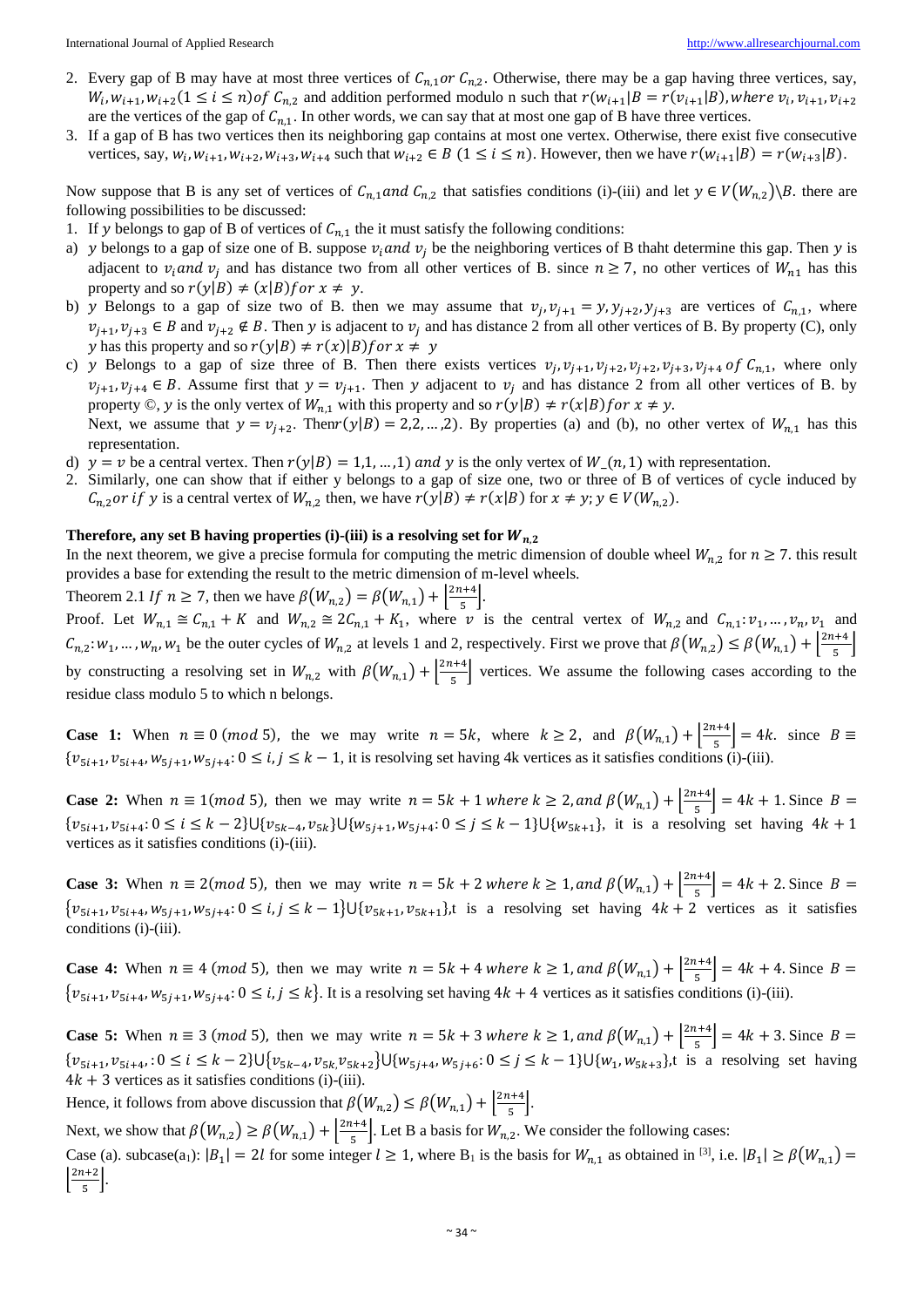International Journal of Applied Research [http://www.allresearchjournal.com](http://www.allresearchjournal.com/)

- 2. Every gap of B may have at most three vertices of  $C_{n,1}$  or  $C_{n,2}$ . Otherwise, there may be a gap having three vertices, say,  $W_i, w_{i+1}, w_{i+2} (1 \le i \le n)$  of  $C_{n,2}$  and addition performed modulo n such that  $r(w_{i+1}|B) = r(v_{i+1}|B)$ , where  $v_i, v_{i+1}, v_{i+2}$ are the vertices of the gap of  $C_{n,1}$ . In other words, we can say that at most one gap of B have three vertices.
- 3. If a gap of B has two vertices then its neighboring gap contains at most one vertex. Otherwise, there exist five consecutive vertices, say,  $w_i$ ,  $w_{i+1}$ ,  $w_{i+2}$ ,  $w_{i+3}$ ,  $w_{i+4}$  such that  $w_{i+2} \in B$  ( $1 \le i \le n$ ). However, then we have  $r(w_{i+1}|B) = r(w_{i+3}|B)$ .

Now suppose that B is any set of vertices of  $C_{n,1}$  and  $C_{n,2}$  that satisfies conditions (i)-(iii) and let  $y \in V(W_{n,2})\backslash B$ . there are following possibilities to be discussed:

- 1. If y belongs to gap of B of vertices of  $C_{n,1}$  the it must satisfy the following conditions:
- a) y belongs to a gap of size one of B. suppose  $v_i$  and  $v_j$  be the neighboring vertices of B thaht determine this gap. Then y is adjacent to  $v_i$  and  $v_j$  and has distance two from all other vertices of B. since  $n \ge 7$ , no other vertices of  $W_{n_1}$  has this property and so  $r(y|B) \neq (x|B)$  f or  $x \neq y$ .
- b) y Belongs to a gap of size two of B. then we may assume that  $v_j$ ,  $v_{j+1} = y$ ,  $y_{j+2}$ ,  $y_{j+3}$  are vertices of  $C_{n,1}$ , where  $v_{j+1}, v_{j+3} \in B$  and  $v_{j+2} \notin B$ . Then y is adjacent to  $v_j$  and has distance 2 from all other vertices of B. By property (C), only y has this property and so  $r(y|B) \neq r(x)|B$  for  $x \neq y$
- c) y Belongs to a gap of size three of B. Then there exists vertices  $v_j$ ,  $v_{j+1}$ ,  $v_{j+2}$ ,  $v_{j+2}$ ,  $v_{j+3}$ ,  $v_{j+4}$  of  $C_{n,1}$ , where only  $v_{j+1}, v_{j+4} \in B$ . Assume first that  $y = v_{j+1}$ . Then y adjacent to  $v_j$  and has distance 2 from all other vertices of B. by property ©, y is the only vertex of  $W_{n,1}$  with this property and so  $r(y|B) \neq r(x|B)$  for  $x \neq y$ . Next, we assume that  $y = v_{j+2}$ . Thenr(y|B) = 2,2, ...,2). By properties (a) and (b), no other vertex of  $W_{n,1}$  has this representation.
- d)  $y = v$  be a central vertex. Then  $r(y|B) = 1,1,...,1$  and y is the only vertex of  $W_n$ , 1) with representation.
- 2. Similarly, one can show that if either y belongs to a gap of size one, two or three of B of vertices of cycle induced by  $C_{n,2}$  *or if* y is a central vertex of  $W_{n,2}$  then, we have  $r(y|B) \neq r(x|B)$  for  $x \neq y$ ;  $y \in V(W_{n,2})$ .

### **Therefore, any set B having properties (i)-(iii) is a resolving set for**  $W_{n,2}$

In the next theorem, we give a precise formula for computing the metric dimension of double wheel  $W_{n,2}$  for  $n \ge 7$ . this result provides a base for extending the result to the metric dimension of m-level wheels.

Theorem 2.1 If  $n \ge 7$ , then we have  $\beta(W_{n,2}) = \beta(W_{n,1}) + \left|\frac{2n+4}{5}\right|$  $\frac{1}{5}$ 

Proof. Let  $W_{n,1} \cong C_{n,1} + K$  and  $W_{n,2} \cong 2C_{n,1} + K_1$ , where v is the central vertex of  $W_{n,2}$  and  $C_{n,1}: \nu_1, \dots, \nu_n, \nu_1$  and  $C_{n,2}: w_1, ..., w_n, w_1$  be the outer cycles of  $W_{n,2}$  at levels 1 and 2, respectively. First we prove that  $\beta(W_{n,2}) \leq \beta(W_{n,1}) + \left|\frac{2n+4}{5}\right|$  $\frac{1}{5}$ by constructing a resolving set in  $W_{n,2}$  with  $\beta(W_{n,1}) + \left|\frac{2n+4}{5}\right|$  $\frac{1}{5}$  vertices. We assume the following cases according to the residue class modulo 5 to which n belongs.

**Case 1:** When  $n \equiv 0 \pmod{5}$ , the we may write  $n = 5k$ , where  $k \ge 2$ , and  $\beta(W_{n,1}) + \left|\frac{2n+4}{5}\right|$  $\left[\frac{R+4}{5}\right] = 4k$ . since  $B \equiv$  $\{v_{5i+1}, v_{5i+4}, w_{5j+1}, w_{5j+4}: 0 \le i, j \le k-1$ , it is resolving set having 4k vertices as it satisfies conditions (i)-(iii).

**Case 2:** When  $n \equiv 1 \pmod{5}$ , then we may write  $n = 5k + 1$  where  $k \ge 2$ , and  $\beta(W_{n,1}) + \left| \frac{2n+4}{5} \right|$  $\left[\frac{1+4}{5}\right] = 4k + 1$ . Since  $B =$  $\{v_{5i+1}, v_{5i+4}: 0 \le i \le k-2\} \cup \{v_{5k-4}, v_{5k}\} \cup \{w_{5j+1}, w_{5j+4}: 0 \le j \le k-1\} \cup \{w_{5k+1}\}\$ , it is a resolving set having  $4k+1$ vertices as it satisfies conditions (i)-(iii).

**Case 3:** When  $n \equiv 2 \pmod{5}$ , then we may write  $n = 5k + 2$  where  $k \ge 1$ , and  $\beta(W_{n,1}) + \left| \frac{2n+4}{5} \right|$  $\left[\frac{1+4}{5}\right] = 4k + 2$ . Since  $B =$  $\{v_{5i+1}, v_{5i+4}, w_{5j+1}, w_{5j+4}: 0 \le i, j \le k-1\} \cup \{v_{5k+1}, v_{5k+1}\}\$ , is a resolving set having  $4k+2$  vertices as it satisfies conditions (i)-(iii).

**Case 4:** When  $n \equiv 4 \pmod{5}$ , then we may write  $n = 5k + 4$  where  $k \ge 1$ , and  $\beta(W_{n,1}) + \left|\frac{2n+4}{5}\right|$  $\left[\frac{1+4}{5}\right] = 4k + 4$ . Since  $B =$  $\{v_{5i+1}, v_{5i+4}, w_{5j+1}, w_{5j+4}: 0 \le i, j \le k\}$ . It is a resolving set having  $4k+4$  vertices as it satisfies conditions (i)-(iii).

**Case 5:** When  $n \equiv 3 \pmod{5}$ , then we may write  $n = 5k + 3$  where  $k \ge 1$ , and  $\beta(W_{n,1}) + \left|\frac{2n+4}{5}\right|$  $\left[\frac{1+4}{5}\right] = 4k + 3$ . Since  $B =$  $\{v_{5i+1}, v_{5i+4}, : 0 \le i \le k-2\} \cup \{v_{5k-4}, v_{5k}, v_{5k+2}\} \cup \{w_{5j+4}, w_{5j+6}: 0 \le j \le k-1\} \cup \{w_1, w_{5k+3}\}\$ , is a resolving set having  $4k + 3$  vertices as it satisfies conditions (i)-(iii).

Hence, it follows from above discussion that  $\beta(W_{n,2}) \leq \beta(W_{n,1}) + \left|\frac{2n+4}{5}\right|$  $\frac{1+4}{5}$ .

Next, we show that  $\beta(W_{n,2}) \geq \beta(W_{n,1}) + \left|\frac{2n+4}{5}\right|$  $\frac{1}{5}$ . Let B a basis for  $W_{n,2}$ . We consider the following cases:

Case (a). subcase(a<sub>1</sub>):  $|B_1| = 2l$  for some integer  $l \ge 1$ , where  $B_1$  is the basis for  $W_{n,1}$  as obtained in <sup>[3]</sup>, i.e.  $|B_1| \ge \beta(W_{n,1}) =$  $\frac{2n+2}{5}$  $\frac{172}{5}$ .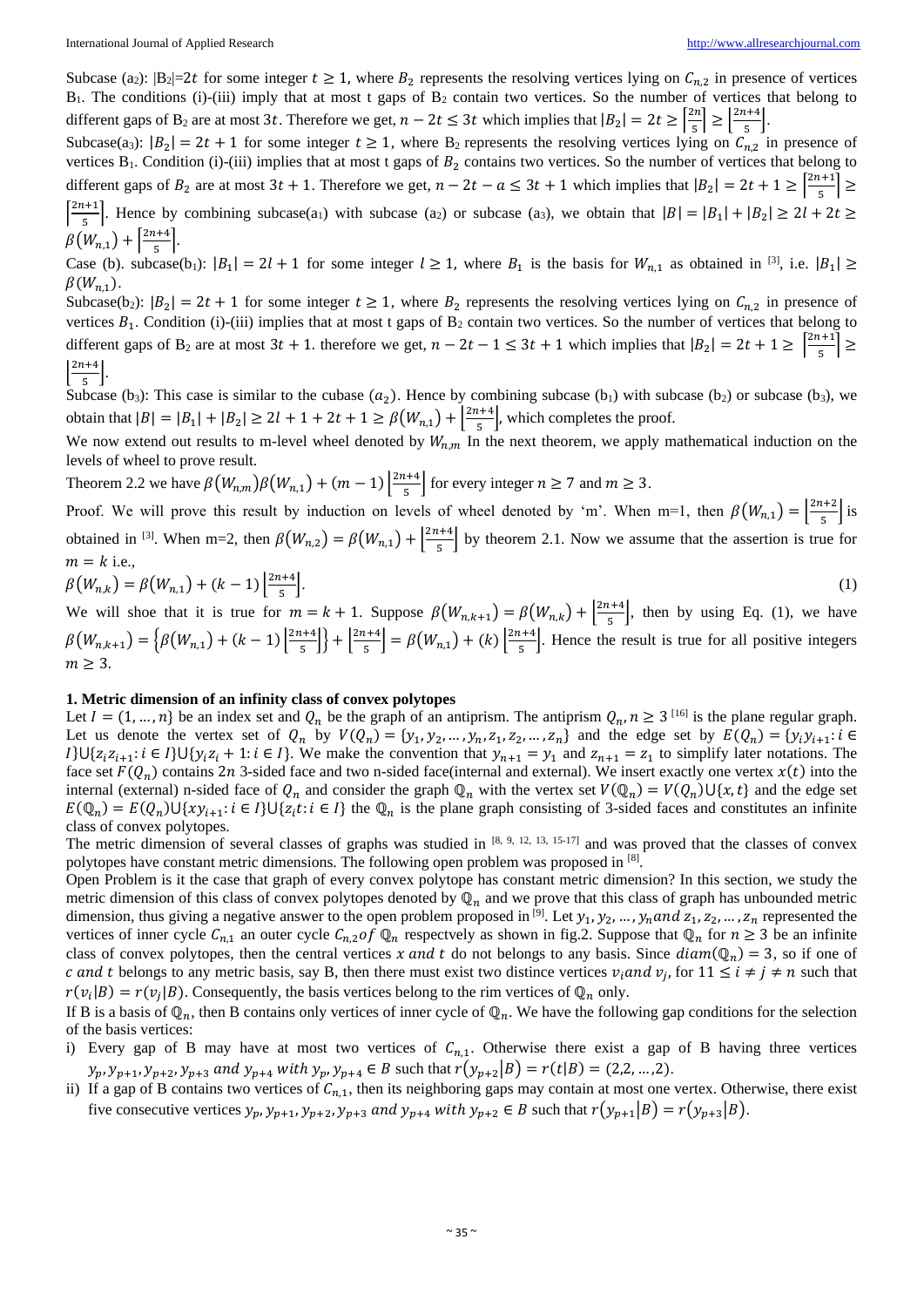Subcase (a<sub>2</sub>):  $|B_2|=2t$  for some integer  $t \ge 1$ , where  $B_2$  represents the resolving vertices lying on  $C_{n,2}$  in presence of vertices  $B_1$ . The conditions (i)-(iii) imply that at most t gaps of  $B_2$  contain two vertices. So the number of vertices that belong to different gaps of B<sub>2</sub> are at most 3t. Therefore we get,  $n-2t \leq 3t$  which implies that  $|B_2| = 2t \geq \left[\frac{2n}{5}\right]$  $\left|\frac{2n}{5}\right| \geq \left|\frac{2n+4}{5}\right|$  $\frac{174}{5}$ .

Subcase(a<sub>3</sub>):  $|B_2| = 2t + 1$  for some integer  $t \ge 1$ , where  $B_2$  represents the resolving vertices lying on  $C_{n,2}$  in presence of vertices  $B_1$ . Condition (i)-(iii) implies that at most t gaps of  $B_2$  contains two vertices. So the number of vertices that belong to different gaps of  $B_2$  are at most  $3t + 1$ . Therefore we get,  $n - 2t - a \leq 3t + 1$  which implies that  $|B_2| = 2t + 1 \geq \left[\frac{2n+1}{5}\right]$  $\frac{1}{5}$  >  $\left[\frac{2n+1}{5}\right]$  $\frac{1+1}{5}$ . Hence by combining subcase(a<sub>1</sub>) with subcase (a<sub>2</sub>) or subcase (a<sub>3</sub>), we obtain that  $|B| = |B_1| + |B_2| \ge 2l + 2t \ge 1$  $\beta(W_{n,1}) + \frac{2n+4}{5}$ 

 $\frac{174}{5}$ . Case (b). subcase(b<sub>1</sub>):  $|B_1| = 2l + 1$  for some integer  $l \ge 1$ , where  $B_1$  is the basis for  $W_{n,1}$  as obtained in <sup>[3]</sup>, i.e.  $|B_1| \ge$  $\beta(W_{n,1}).$ 

Subcase(b<sub>2</sub>):  $|B_2| = 2t + 1$  for some integer  $t \ge 1$ , where  $B_2$  represents the resolving vertices lying on  $C_{n,2}$  in presence of vertices  $B_1$ . Condition (i)-(iii) implies that at most t gaps of  $B_2$  contain two vertices. So the number of vertices that belong to different gaps of B<sub>2</sub> are at most  $3t + 1$ . therefore we get,  $n - 2t - 1 \le 3t + 1$  which implies that  $|B_2| = 2t + 1 \ge \left[\frac{2n+1}{5}\right]$  $\frac{1}{5}$  >  $\frac{2n+4}{5}$  $\frac{174}{5}$ .

Subcase (b<sub>3</sub>): This case is similar to the cubase  $(a_2)$ . Hence by combining subcase (b<sub>1</sub>) with subcase (b<sub>2</sub>) or subcase (b<sub>3</sub>), we obtain that  $|B| = |B_1| + |B_2| \ge 2l + 1 + 2t + 1 \ge \beta \left( W_{n,1} \right) + \left| \frac{2n+4}{5} \right|$  $\left(\frac{t+4}{5}\right)$ , which completes the proof.

We now extend out results to m-level wheel denoted by  $W_{n,m}$  In the next theorem, we apply mathematical induction on the levels of wheel to prove result.

Theorem 2.2 we have  $\beta(W_{n,m})\beta(W_{n,1}) + (m-1) \frac{|2n+4}{5}$  $\frac{n+4}{5}$  for every integer  $n \ge 7$  and  $m \ge 3$ .

Proof. We will prove this result by induction on levels of wheel denoted by 'm'. When m=1, then  $\beta(W_{n,1}) = \left|\frac{2n+2}{5}\right|$  $\frac{172}{5}$  is obtained in <sup>[3]</sup>. When m=2, then  $\beta(W_{n,2}) = \beta(W_{n,1}) + \frac{|2n+4|}{5}$  $\frac{1}{5}$  by theorem 2.1. Now we assume that the assertion is true for  $m = k$  i.e.,

$$
\beta(W_{n,k}) = \beta(W_{n,1}) + (k-1)\left[\frac{2n+4}{5}\right].\tag{1}
$$

We will shoe that it is true for  $m = k + 1$ . Suppose  $\beta(W_{n,k+1}) = \beta(W_{n,k}) + \frac{|2n+4|}{5}$  $\frac{1+4}{5}$ , then by using Eq. (1), we have  $\beta(W_{n,k+1}) = \left\{ \beta(W_{n,1}) + (k-1) \right\} \frac{2n+4}{5}$  $\left[\frac{n+4}{5}\right]$  +  $\left[\frac{2n+4}{5}\right]$  $\left[\frac{n+4}{5}\right] = \beta(W_{n,1}) + (k) \left[\frac{2n+4}{5}\right]$  $\frac{1}{5}$ . Hence the result is true for all positive integers  $m > 3$ .

#### **1. Metric dimension of an infinity class of convex polytopes**

Let  $I = (1, ..., n)$  be an index set and  $Q_n$  be the graph of an antiprism. The antiprism  $Q_n, n \ge 3$  [16] is the plane regular graph. Let us denote the vertex set of  $Q_n$  by  $V(Q_n) = \{y_1, y_2, ..., y_n, z_1, z_2, ..., z_n\}$  and the edge set by  $E(Q_n) = \{y_i y_{i+1} : i \in Q_n\}$  $I\}\bigcup\{z_iz_{i+1}:i\in I\}\cup\{y_iz_i+1:i\in I\}$ . We make the convention that  $y_{n+1}=y_1$  and  $z_{n+1}=z_1$  to simplify later notations. The face set  $F(Q_n)$  contains 2n 3-sided face and two n-sided face(internal and external). We insert exactly one vertex  $x(t)$  into the internal (external) n-sided face of  $Q_n$  and consider the graph  $\mathbb{Q}_n$  with the vertex set  $V(\mathbb{Q}_n) = V(Q_n) \cup \{x, t\}$  and the edge set  $E(\mathbb{Q}_n) = E(Q_n) \cup \{xy_{i+1}: i \in I\} \cup \{z_i t : i \in I\}$  the  $\mathbb{Q}_n$  is the plane graph consisting of 3-sided faces and constitutes an infinite class of convex polytopes.

The metric dimension of several classes of graphs was studied in  $[8, 9, 12, 13, 15-17]$  and was proved that the classes of convex polytopes have constant metric dimensions. The following open problem was proposed in [8].

Open Problem is it the case that graph of every convex polytope has constant metric dimension? In this section, we study the metric dimension of this class of convex polytopes denoted by  $\mathbb{Q}_n$  and we prove that this class of graph has unbounded metric dimension, thus giving a negative answer to the open problem proposed in  $[9]$ . Let  $y_1, y_2, ..., y_n$  and  $z_1, z_2, ..., z_n$  represented the vertices of inner cycle  $C_{n,1}$  an outer cycle  $C_{n,2}$  of  $\mathbb{Q}_n$  respectvely as shown in fig.2. Suppose that  $\mathbb{Q}_n$  for  $n \geq 3$  be an infinite class of convex polytopes, then the central vertices x and t do not belongs to any basis. Since  $diam(\mathbb{Q}_n) = 3$ , so if one of c and t belongs to any metric basis, say B, then there must exist two distince vertices  $v_i$  and  $v_j$ , for  $11 \le i \ne j \ne n$  such that  $r(v_i|B) = r(v_i|B)$ . Consequently, the basis vertices belong to the rim vertices of  $\mathbb{Q}_n$  only.

If B is a basis of  $\mathbb{Q}_n$ , then B contains only vertices of inner cycle of  $\mathbb{Q}_n$ . We have the following gap conditions for the selection of the basis vertices:

- i) Every gap of B may have at most two vertices of  $C_{n,1}$ . Otherwise there exist a gap of B having three vertices  $y_p, y_{p+1}, y_{p+2}, y_{p+3}$  and  $y_{p+4}$  with  $y_p, y_{p+4} \in B$  such that  $r(y_{p+2}|B) = r(t|B) = (2, 2, ..., 2)$ .
- ii) If a gap of B contains two vertices of  $C_{n,1}$ , then its neighboring gaps may contain at most one vertex. Otherwise, there exist five consecutive vertices  $y_p$ ,  $y_{p+1}$ ,  $y_{p+2}$ ,  $y_{p+3}$  and  $y_{p+4}$  with  $y_{p+2} \in B$  such that  $r(y_{p+1}|B) = r(y_{p+3}|B)$ .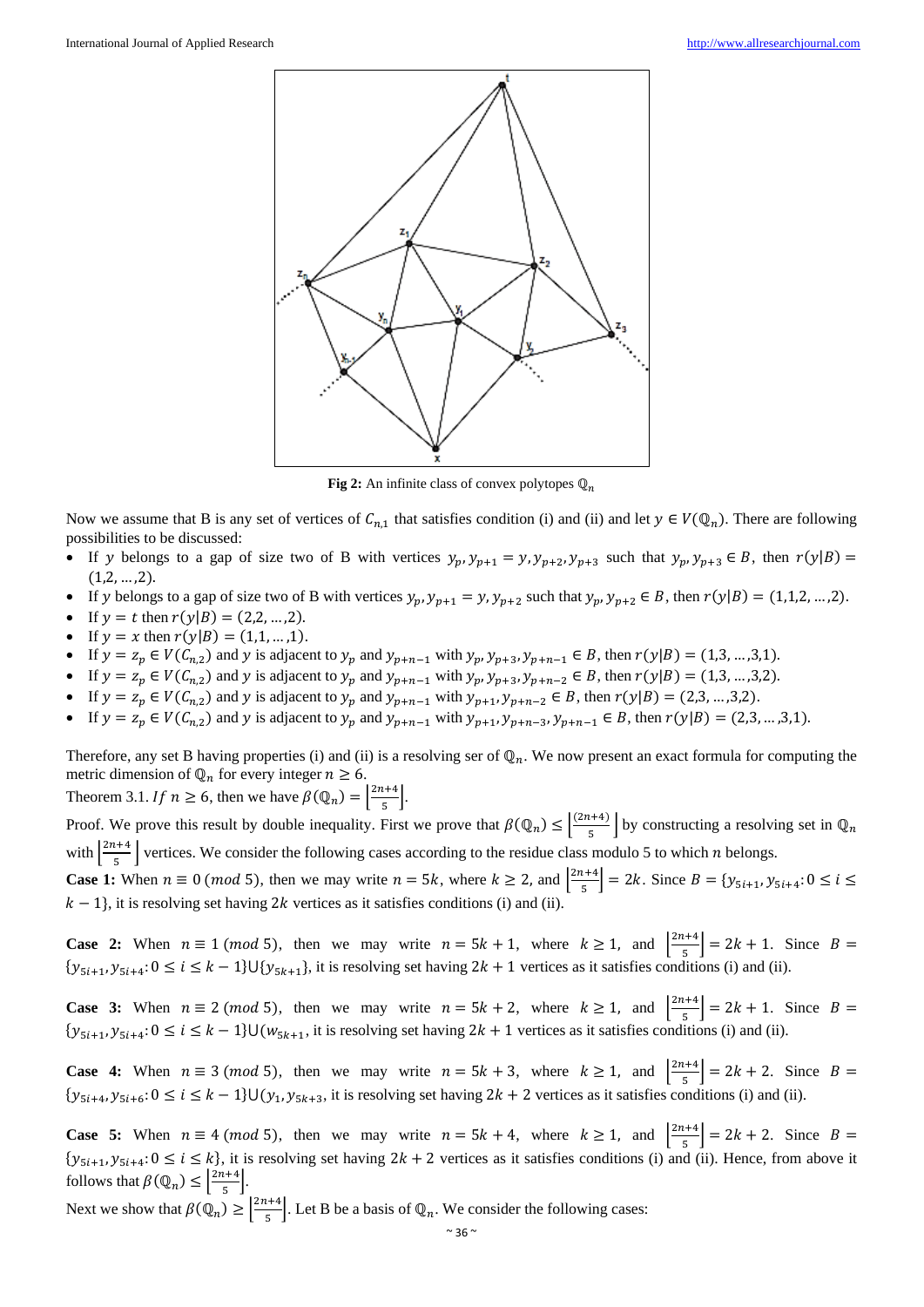

**Fig 2:** An infinite class of convex polytopes  $\mathbb{Q}_n$ 

Now we assume that B is any set of vertices of  $C_{n,1}$  that satisfies condition (i) and (ii) and let  $y \in V(\mathbb{Q}_n)$ . There are following possibilities to be discussed:

- If y belongs to a gap of size two of B with vertices  $y_p$ ,  $y_{p+1} = y$ ,  $y_{p+2}$ ,  $y_{p+3}$  such that  $y_p$ ,  $y_{p+3} \in B$ , then  $r(y|B) =$  $(1,2,...,2)$ .
- If y belongs to a gap of size two of B with vertices  $y_p$ ,  $y_{p+1} = y$ ,  $y_{p+2}$  such that  $y_p$ ,  $y_{p+2} \in B$ , then  $r(y|B) = (1,1,2,...,2)$ .
- If  $y = t$  then  $r(y|B) = (2,2,...,2)$ .
- If  $y = x$  then  $r(y|B) = (1,1, ..., 1)$ .
- If  $y = z_p \in V(C_{n,2})$  and y is adjacent to  $y_p$  and  $y_{p+n-1}$  with  $y_p, y_{p+3}, y_{p+n-1} \in B$ , then  $r(y|B) = (1,3,...,3,1)$ .
- If  $y = z_p \in V(C_{n,2})$  and y is adjacent to  $y_p$  and  $y_{p+n-1}$  with  $y_p, y_{p+3}, y_{p+n-2} \in B$ , then  $r(y|B) = (1,3,...,3,2)$ .
- If  $y = z_p \in V(C_{n,2})$  and y is adjacent to  $y_p$  and  $y_{p+n-1}$  with  $y_{p+1}, y_{p+n-2} \in B$ , then  $r(y|B) = (2,3,...,3,2)$ .
- If  $y = z_p \in V(C_{n,2})$  and y is adjacent to  $y_p$  and  $y_{p+n-1}$  with  $y_{p+1}, y_{p+n-3}, y_{p+n-1} \in B$ , then  $r(y|B) = (2,3,...,3,1)$ .

Therefore, any set B having properties (i) and (ii) is a resolving ser of  $\mathbb{Q}_n$ . We now present an exact formula for computing the metric dimension of  $\mathbb{Q}_n$  for every integer  $n \geq 6$ .

Theorem 3.1. If  $n \ge 6$ , then we have  $\beta(\mathbb{Q}_n) = \left| \frac{2n+4}{5} \right|$  $\frac{174}{5}$ .

Proof. We prove this result by double inequality. First we prove that  $\beta(\mathbb{Q}_n) \leq \left| \frac{(2n+4)}{5} \right|$  $\left[\frac{n+4j}{5}\right]$  by constructing a resolving set in  $\mathbb{Q}_n$ with  $\frac{2n+4}{5}$  $\frac{1}{5}$  vertices. We consider the following cases according to the residue class modulo 5 to which *n* belongs.

**Case 1:** When  $n \equiv 0 \pmod{5}$ , then we may write  $n = 5k$ , where  $k \ge 2$ , and  $\left|\frac{2n+4}{5}\right|$  $\left[\frac{i+4}{5}\right]$  = 2k. Since  $B = \{y_{5i+1}, y_{5i+4}: 0 \le i \le$  $k - 1$ , it is resolving set having 2k vertices as it satisfies conditions (i) and (ii).

**Case 2:** When  $n \equiv 1 \pmod{5}$ , then we may write  $n = 5k + 1$ , where  $k \ge 1$ , and  $\left|\frac{2n+4}{5}\right|$  $\left[\frac{k+4}{5}\right] = 2k + 1$ . Since  $B =$  $\{y_{5i+1}, y_{5i+4}: 0 \le i \le k-1\} \cup \{y_{5k+1}\}\$ , it is resolving set having  $2k+1$  vertices as it satisfies conditions (i) and (ii).

**Case 3:** When  $n \equiv 2 \pmod{5}$ , then we may write  $n = 5k + 2$ , where  $k \ge 1$ , and  $\left|\frac{2n+4}{5}\right|$  $\left[\frac{k+4}{5}\right] = 2k + 1$ . Since  $B =$  $\{y_{5i+1}, y_{5i+4}: 0 \le i \le k-1\}$ U $(w_{5k+1},$  it is resolving set having  $2k+1$  vertices as it satisfies conditions (i) and (ii).

**Case 4:** When  $n \equiv 3 \pmod{5}$ , then we may write  $n = 5k + 3$ , where  $k \ge 1$ , and  $\left|\frac{2n+4}{5}\right|$  $\left[\frac{k+4}{5}\right] = 2k + 2$ . Since  $B =$  $\{y_{5i+4}, y_{5i+6}: 0 \le i \le k-1\}$ U $(y_1, y_{5k+3},$  it is resolving set having  $2k+2$  vertices as it satisfies conditions (i) and (ii).

**Case 5:** When  $n \equiv 4 \pmod{5}$ , then we may write  $n = 5k + 4$ , where  $k \ge 1$ , and  $\left|\frac{2n+4}{5}\right|$  $\left[\frac{k+4}{5}\right] = 2k + 2$ . Since  $B =$  $\{y_{5i+1}, y_{5i+4}: 0 \le i \le k\}$ , it is resolving set having  $2k+2$  vertices as it satisfies conditions (i) and (ii). Hence, from above it follows that  $\beta(\mathbb{Q}_n) \leq \left| \frac{2n+4}{5} \right|$  $\frac{174}{5}$ .

Next we show that  $\beta(\mathbb{Q}_n) \geq \left| \frac{2n+4}{5} \right|$  $\left[\frac{t+4}{5}\right]$ . Let B be a basis of  $\mathbb{Q}_n$ . We consider the following cases: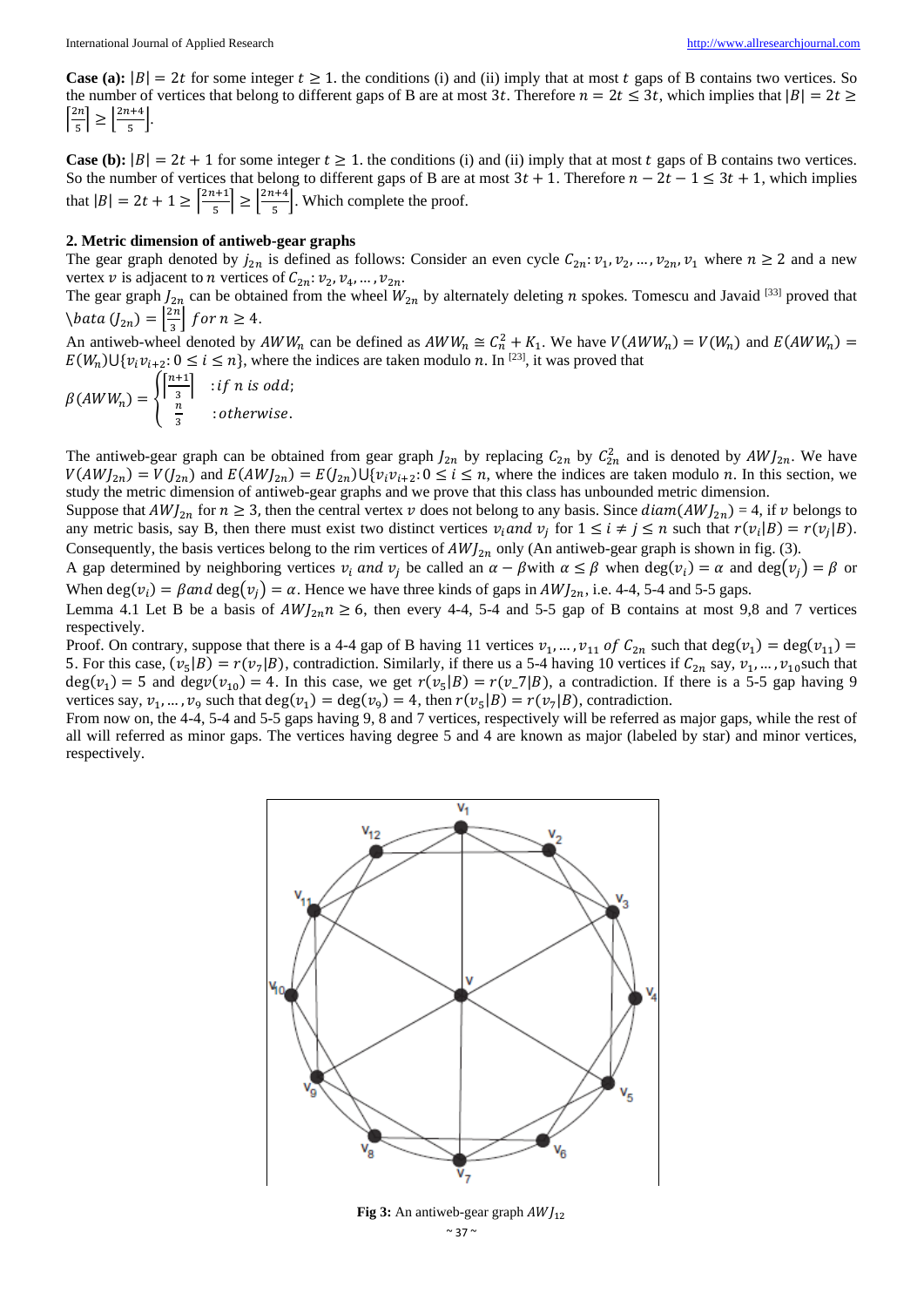**Case (a):**  $|B| = 2t$  for some integer  $t \ge 1$ , the conditions (i) and (ii) imply that at most  $t$  gaps of B contains two vertices. So the number of vertices that belong to different gaps of B are at most 3t. Therefore  $n = 2t \le 3t$ , which implies that  $|B| = 2t \ge$  $\left[\frac{2n}{r}\right]$  $\left|\frac{2n+4}{5}\right| \geq \left|\frac{2n+4}{5}\right|$  $\frac{174}{5}$ .

**Case (b):**  $|B| = 2t + 1$  for some integer  $t \ge 1$ . the conditions (i) and (ii) imply that at most  $t$  gaps of B contains two vertices. So the number of vertices that belong to different gaps of B are at most  $3t + 1$ . Therefore  $n - 2t - 1 \le 3t + 1$ , which implies that  $|B| = 2t + 1 \ge \left[\frac{2n+1}{5}\right]$  $\left|\frac{n+1}{5}\right| \geq \left|\frac{2n+4}{5}\right|$  $\left(\frac{1}{5}\right)$ . Which complete the proof.

#### **2. Metric dimension of antiweb-gear graphs**

The gear graph denoted by  $j_{2n}$  is defined as follows: Consider an even cycle  $C_{2n}: v_1, v_2, ..., v_{2n}, v_1$  where  $n \ge 2$  and a new vertex v is adjacent to *n* vertices of  $C_{2n}: v_2, v_4, ..., v_{2n}$ .

The gear graph  $J_{2n}$  can be obtained from the wheel  $W_{2n}$  by alternately deleting *n* spokes. Tomescu and Javaid [33] proved that  $\setminus$ bata  $(J_{2n}) = \left| \frac{2n}{3} \right|$  $\frac{\varepsilon n}{3}$  for  $n \geq 4$ .

An antiweb-wheel denoted by  $AWW_n$  can be defined as  $AWW_n \cong C_n^2 + K_1$ . We have  $V(AWW_n) = V(W_n)$  and  $E(AWW_n) =$  $E(W_n) \cup \{v_i v_{i+2} : 0 \le i \le n\}$ , where the indices are taken modulo n. In <sup>[23]</sup>, it was proved that

$$
\beta(AWW_n) = \begin{cases} \left[\frac{n+1}{3}\right] & \text{if } n \text{ is odd;}\\ \frac{n}{3} & \text{otherwise.} \end{cases}
$$

The antiweb-gear graph can be obtained from gear graph  $J_{2n}$  by replacing  $C_{2n}$  by  $C_{2n}^2$  and is denoted by  $AWJ_{2n}$ . We have  $V(AWJ_{2n}) = V(J_{2n})$  and  $E(AWJ_{2n}) = E(J_{2n}) \cup \{v_i v_{i+2} : 0 \le i \le n$ , where the indices are taken modulo *n*. In this section, we study the metric dimension of antiweb-gear graphs and we prove that this class has unbounded metric dimension.

Suppose that  $AWJ_{2n}$  for  $n \ge 3$ , then the central vertex v does not belong to any basis. Since  $diam(AWJ_{2n}) = 4$ , if v belongs to any metric basis, say B, then there must exist two distinct vertices  $v_i$  and  $v_j$  for  $1 \le i \ne j \le n$  such that  $r(v_i|B) = r(v_j|B)$ . Consequently, the basis vertices belong to the rim vertices of  $AWJ_{2n}$  only (An antiweb-gear graph is shown in fig. (3).

A gap determined by neighboring vertices  $v_i$  and  $v_j$  be called an  $\alpha - \beta$  with  $\alpha \le \beta$  when  $\deg(v_i) = \alpha$  and  $\deg(v_j) = \beta$  or When  $deg(v_i) = \beta$  and  $deg(v_j) = \alpha$ . Hence we have three kinds of gaps in  $AWJ_{2n}$ , i.e. 4-4, 5-4 and 5-5 gaps.

Lemma 4.1 Let B be a basis of  $AWJ_{2n}$  $n \ge 6$ , then every 4-4, 5-4 and 5-5 gap of B contains at most 9,8 and 7 vertices respectively.

Proof. On contrary, suppose that there is a 4-4 gap of B having 11 vertices  $v_1, ..., v_{11}$  of  $C_{2n}$  such that  $deg(v_1) = deg(v_{11}) =$ 5. For this case,  $(v_5|B) = r(v_7|B)$ , contradiction. Similarly, if there us a 5-4 having 10 vertices if  $C_{2n}$  say,  $v_1, ..., v_{10}$  such that  $deg(v_1) = 5$  and  $deg(v_1) = 4$ . In this case, we get  $r(v_5|B) = r(v_7|B)$ , a contradiction. If there is a 5-5 gap having 9 vertices say,  $v_1, ..., v_9$  such that  $deg(v_1) = deg(v_9) = 4$ , then  $r(v_5|B) = r(v_7|B)$ , contradiction.

From now on, the 4-4, 5-4 and 5-5 gaps having 9, 8 and 7 vertices, respectively will be referred as major gaps, while the rest of all will referred as minor gaps. The vertices having degree 5 and 4 are known as major (labeled by star) and minor vertices, respectively.



**Fig 3:** An antiweb-gear graph  $AWJ_{12}$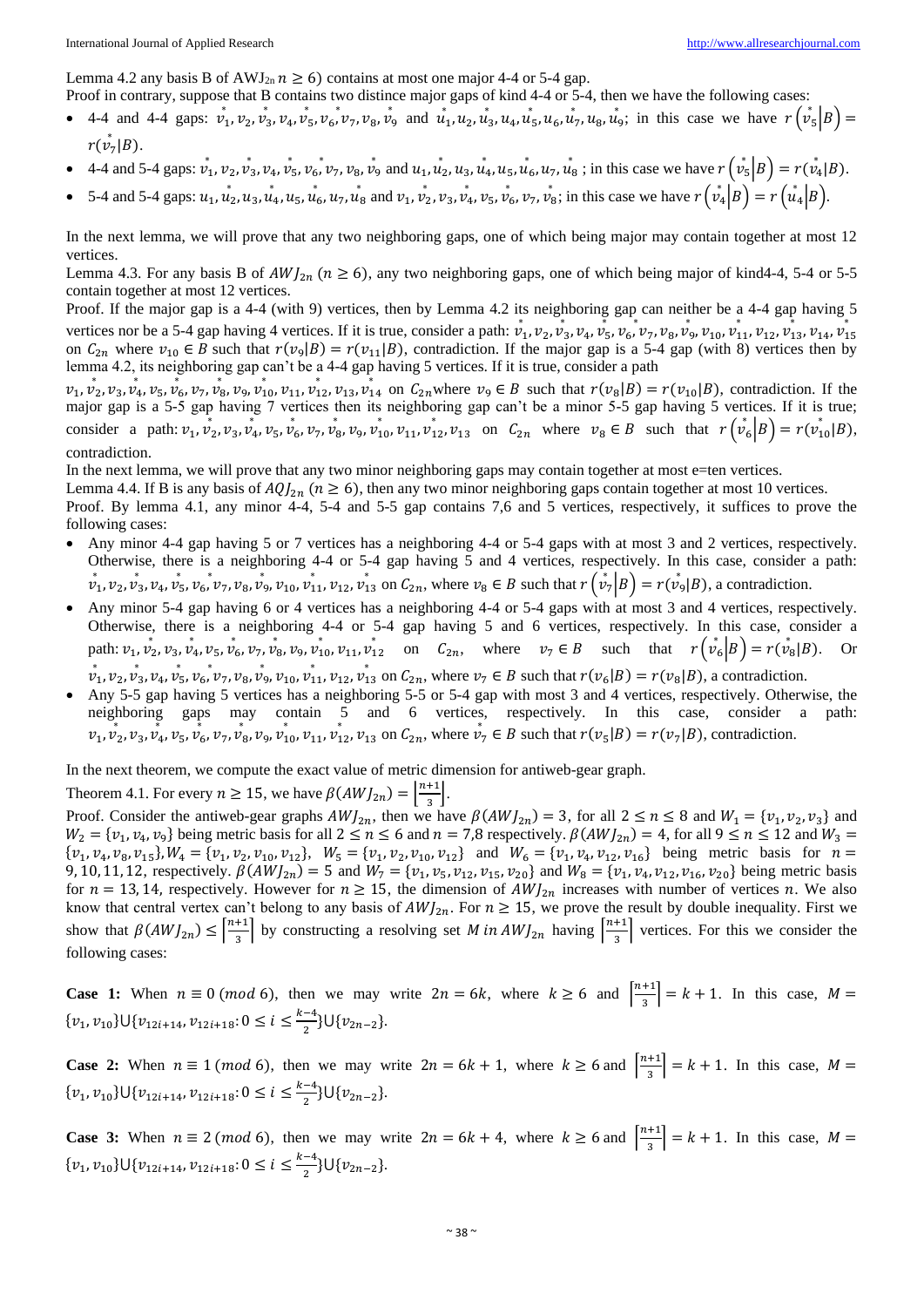Lemma 4.2 any basis B of AWJ<sub>2n</sub>  $n \ge 6$ ) contains at most one major 4-4 or 5-4 gap.

Proof in contrary, suppose that B contains two distince major gaps of kind 4-4 or 5-4, then we have the following cases:

- 4-4 and 4-4 gaps:  $v_1, v_2, v_3, v_4, v_5, v_6, v_7, v_8, v_9$  and  $u_1, u_2, u_3, u_4, u_5, u_6, u_7, u_8, u_9$ ; in this case we have  $r(v_5|B)$  =  $r(\stackrel{*}{v}_7|B)$ .
- 4-4 and 5-4 gaps:  $\vec{v}_1, \vec{v}_2, \vec{v}_3, \vec{v}_4, \vec{v}_5, \vec{v}_6, \vec{v}_7, \vec{v}_8, \vec{v}_9$  and  $\vec{u}_1, \vec{u}_2, \vec{u}_3, \vec{u}_4, \vec{u}_5, \vec{u}_6, \vec{u}_7, \vec{u}_8$ ; in this case we have  $r(\vec{v}_5|B) = r(\vec{v}_4|B)$ .
- 5-4 and 5-4 gaps:  $u_1, u_2, u_3, u_4, u_5, u_6, u_7, u_8$  and  $v_1, v_2, v_3, v_4, v_5, v_6, v_7, v_8$ ; in this case we have  $r(v_4|B) = r(v_4|B)$ .

In the next lemma, we will prove that any two neighboring gaps, one of which being major may contain together at most 12 vertices.

Lemma 4.3. For any basis B of  $AWJ_{2n}$  ( $n \ge 6$ ), any two neighboring gaps, one of which being major of kind4-4, 5-4 or 5-5 contain together at most 12 vertices.

Proof. If the major gap is a 4-4 (with 9) vertices, then by Lemma 4.2 its neighboring gap can neither be a 4-4 gap having 5 vertices nor be a 5-4 gap having 4 vertices. If it is true, consider a path:  $v_1$ ,  $v_2$ ,  $v_3$ ,  $v_4$ ,  $v_5$ ,  $v_6$ ,  $v_7$ ,  $v_8$ ,  $v_9$ ,  $v_{10}$ ,  $v_{11}$ ,  $v_{12}$ ,  $v_{13}$ ,  $v_{14}$ ,  $v_{15}$ on  $C_{2n}$  where  $v_{10} \in B$  such that  $r(v_9|B) = r(v_{11}|B)$ , contradiction. If the major gap is a 5-4 gap (with 8) vertices then by lemma 4.2, its neighboring gap can't be a 4-4 gap having 5 vertices. If it is true, consider a path

 $v_1, v_2, v_3, v_4, v_5, v_6, v_7, v_8, v_9, v_{10}, v_{11}, v_{12}, v_{13}, v_{14}$  on  $C_{2n}$  where  $v_9 \in B$  such that  $r(v_8|B) = r(v_{10}|B)$ , contradiction. If the major gap is a 5-5 gap having 7 vertices then its neighboring gap can't be a minor 5-5 gap having 5 vertices. If it is true; consider a path:  $v_1$ ,  $v_2$ ,  $v_3$ ,  $v_4$ ,  $v_5$ ,  $v_6$ ,  $v_7$ ,  $v_8$ ,  $v_9$ ,  $v_{10}$ ,  $v_{11}$ ,  $v_{12}$ ,  $v_{13}$  on  $C_{2n}$  where  $v_8 \in B$  such that  $r(v_6|B) = r(v_{10}^*|B)$ , contradiction.

In the next lemma, we will prove that any two minor neighboring gaps may contain together at most e=ten vertices.

Lemma 4.4. If B is any basis of  $AQ_{2n}$  ( $n \ge 6$ ), then any two minor neighboring gaps contain together at most 10 vertices.

Proof. By lemma 4.1, any minor 4-4, 5-4 and 5-5 gap contains 7,6 and 5 vertices, respectively, it suffices to prove the following cases:

- Any minor 4-4 gap having 5 or 7 vertices has a neighboring 4-4 or 5-4 gaps with at most 3 and 2 vertices, respectively. Otherwise, there is a neighboring 4-4 or 5-4 gap having 5 and 4 vertices, respectively. In this case, consider a path:  $\vec{v}_1, \vec{v}_2, \vec{v}_3, \vec{v}_4, \vec{v}_5, \vec{v}_6, \vec{v}_7, \vec{v}_8, \vec{v}_9, \vec{v}_{10}, \vec{v}_{11}, \vec{v}_{12}, \vec{v}_{13}$  on  $C_{2n}$ , where  $\vec{v}_8 \in B$  such that  $r(\vec{v}_7 | B) = r(\vec{v}_9 | B)$ , a contradiction.
- Any minor 5-4 gap having 6 or 4 vertices has a neighboring 4-4 or 5-4 gaps with at most 3 and 4 vertices, respectively. Otherwise, there is a neighboring 4-4 or 5-4 gap having 5 and 6 vertices, respectively. In this case, consider a path:  $v_1, v_2, v_3, v_4, v_5, v_6, v_7, v_8, v_9, v_{10}, v_{11}, v_{12}^*$  on  $C_{2n}$ , where  $v_7 \in B$  such that  $r(v_6|B) = r(v_8|B)$ . Or
- $\vec{v}_1, \vec{v}_2, \vec{v}_3, \vec{v}_4, \vec{v}_5, \vec{v}_6, \vec{v}_7, \vec{v}_8, \vec{v}_9, \vec{v}_{10}, \vec{v}_{11}, \vec{v}_{12}, \vec{v}_{13}$  on  $C_{2n}$ , where  $\vec{v}_7 \in B$  such that  $r(\vec{v}_6|B) = r(\vec{v}_8|B)$ , a contradiction.
- Any 5-5 gap having 5 vertices has a neighboring 5-5 or 5-4 gap with most 3 and 4 vertices, respectively. Otherwise, the neighboring gaps may contain 5 and 6 vertices, respectively. In this case, consider a path:  $v_1, v_2, v_3, v_4, v_5, v_6, v_7, v_8, v_9, v_{10}, v_{11}, v_{12}, v_{13}$  on  $C_{2n}$ , where  $v_7 \in B$  such that  $r(v_5|B) = r(v_7|B)$ , contradiction.

In the next theorem, we compute the exact value of metric dimension for antiweb-gear graph.

Theorem 4.1. For every  $n \ge 15$ , we have  $\beta(AWJ_{2n}) = \left| \frac{n+1}{3} \right|$  $\frac{1}{3}$ .

Proof. Consider the antiweb-gear graphs  $AWJ_{2n}$ , then we have  $\beta(AWJ_{2n}) = 3$ , for all  $2 \le n \le 8$  and  $W_1 = \{v_1, v_2, v_3\}$  and  $W_2 = \{v_1, v_4, v_9\}$  being metric basis for all  $2 \le n \le 6$  and  $n = 7.8$  respectively.  $\beta(AWJ_{2n}) = 4$ , for all  $9 \le n \le 12$  and  $W_3 =$  $\{v_1, v_4, v_8, v_{15}\}, W_4 = \{v_1, v_2, v_{10}, v_{12}\}, W_5 = \{v_1, v_2, v_{10}, v_{12}\}$  and  $W_6 = \{v_1, v_4, v_{12}, v_{16}\}$  being metric basis for  $n =$ 9, 10, 11, 12, respectively.  $\beta(AWJ_{2n}) = 5$  and  $W_7 = \{v_1, v_5, v_{12}, v_{15}, v_{20}\}$  and  $W_8 = \{v_1, v_4, v_{12}, v_{16}, v_{20}\}$  being metric basis for  $n = 13, 14$ , respectively. However for  $n \ge 15$ , the dimension of  $AWJ_{2n}$  increases with number of vertices n. We also know that central vertex can't belong to any basis of  $AWJ_{2n}$ . For  $n \ge 15$ , we prove the result by double inequality. First we show that  $\beta(AWJ_{2n}) \leq \left[\frac{n+1}{2}\right]$  $\frac{+1}{3}$  by constructing a resolving set *M* in *AWJ*<sub>2n</sub> having  $\left[\frac{n+1}{3}\right]$  $\frac{+1}{3}$  vertices. For this we consider the following cases:

**Case 1:** When  $n \equiv 0 \pmod{6}$ , then we may write  $2n = 6k$ , where  $k \ge 6$  and  $\frac{n+1}{2}$  $\left| \frac{1}{3} \right| = k + 1$ . In this case,  $M =$  $\{v_1, v_{10}\}\bigcup \{v_{12i+14}, v_{12i+18}: 0 \le i \le \frac{k-4}{2}\}$  $\frac{-4}{2}$ }U{ $v_{2n-2}$ }.

**Case 2:** When  $n \equiv 1 \pmod{6}$ , then we may write  $2n = 6k + 1$ , where  $k \ge 6$  and  $\left[\frac{n+1}{2}\right]$  $\left| \frac{1}{3} \right| = k + 1$ . In this case,  $M =$  $\{v_1, v_{10}\}\cup \{v_{12i+14}, v_{12i+18}: 0 \le i \le \frac{k-4}{2}\}$  $\frac{-4}{2}$ }U{ $v_{2n-2}$ }.

**Case 3:** When  $n \equiv 2 \pmod{6}$ , then we may write  $2n = 6k + 4$ , where  $k \ge 6$  and  $\left[\frac{n+1}{2}\right]$  $\left| \frac{1}{3} \right| = k + 1$ . In this case,  $M =$  $\{v_1, v_{10}\}\cup \{v_{12i+14}, v_{12i+18}: 0 \le i \le \frac{k-4}{2}\}$  $\frac{-4}{2}$ }U{ $v_{2n-2}$ }.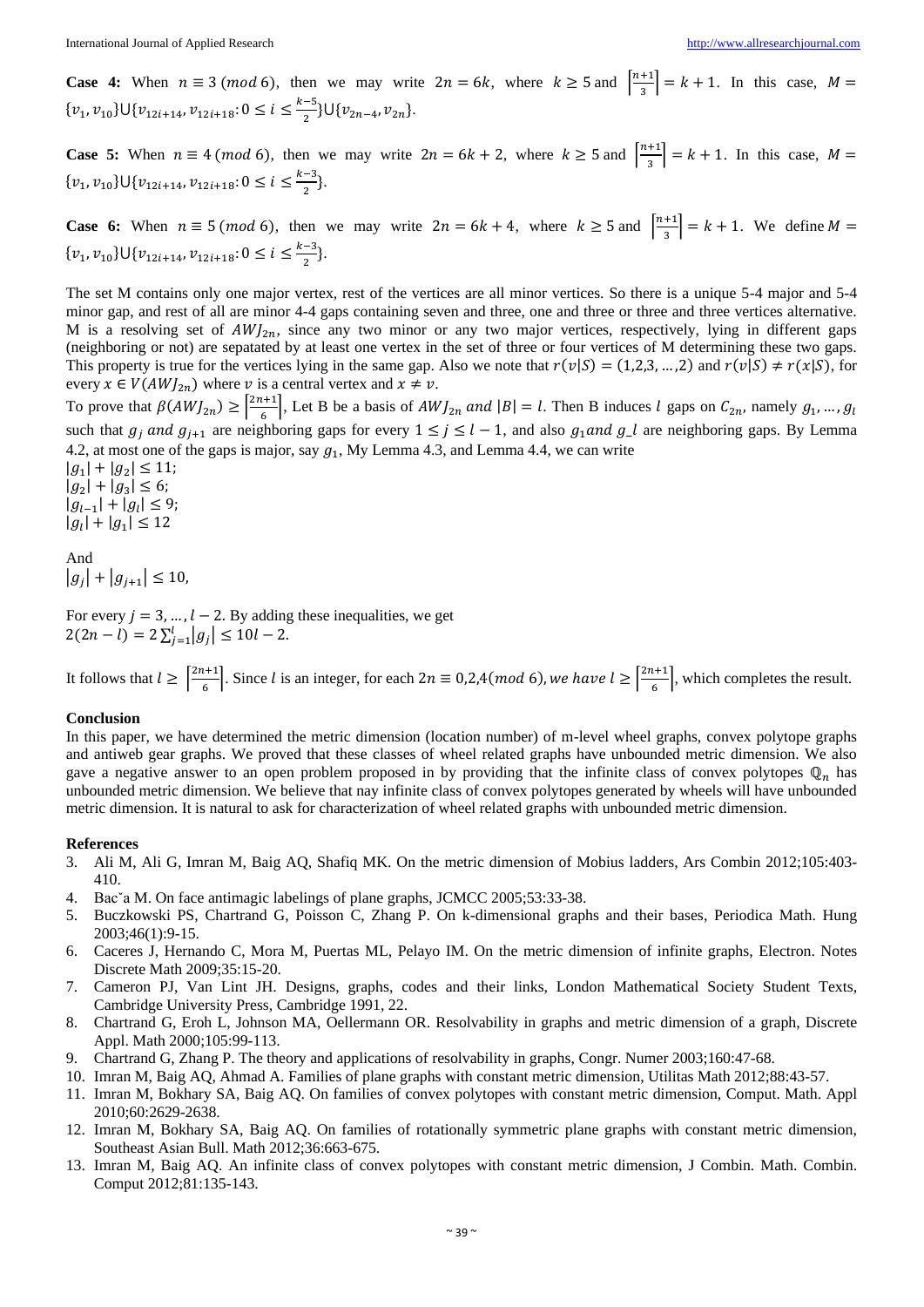**Case 4:** When  $n \equiv 3 \pmod{6}$ , then we may write  $2n = 6k$ , where  $k \ge 5$  and  $\left[\frac{n+1}{2}\right]$  $\left| \frac{1}{3} \right| = k + 1$ . In this case,  $M =$  $\{v_1, v_{10}\}\cup \{v_{12i+14}, v_{12i+18}: 0 \le i \le \frac{k-5}{2}\}$  $\frac{1}{2}$ U{ $v_{2n-4}$ ,  $v_{2n}$ }.

**Case 5:** When  $n \equiv 4 \pmod{6}$ , then we may write  $2n = 6k + 2$ , where  $k \ge 5$  and  $\left[\frac{n+1}{2}\right]$  $\left| \frac{1}{3} \right| = k + 1$ . In this case,  $M =$  $\{v_1, v_{10}\}\cup \{v_{12i+14}, v_{12i+18}: 0 \le i \le \frac{k-3}{2}\}$  $\frac{-3}{2}$ .

**Case 6:** When  $n \equiv 5 \pmod{6}$ , then we may write  $2n = 6k + 4$ , where  $k \ge 5$  and  $\left[\frac{n+1}{2}\right]$  $\left| \frac{1}{3} \right| = k + 1$ . We define  $M =$  $\{v_1, v_{10}\}\cup \{v_{12i+14}, v_{12i+18}: 0 \le i \le \frac{k-3}{2}\}$  $\frac{-3}{2}$ .

The set M contains only one major vertex, rest of the vertices are all minor vertices. So there is a unique 5-4 major and 5-4 minor gap, and rest of all are minor 4-4 gaps containing seven and three, one and three or three and three vertices alternative. M is a resolving set of  $AWJ_{2n}$ , since any two minor or any two major vertices, respectively, lying in different gaps (neighboring or not) are sepatated by at least one vertex in the set of three or four vertices of M determining these two gaps. This property is true for the vertices lying in the same gap. Also we note that  $r(v|S) = (1,2,3,...,2)$  and  $r(v|S) \neq r(x|S)$ , for every  $x \in V(AWJ_{2n})$  where v is a central vertex and  $x \neq v$ .

To prove that  $\beta(AWJ_{2n}) \geq \left[\frac{2n+1}{6}\right]$  $\left[\frac{a+1}{6}\right]$ , Let B be a basis of  $AWJ_{2n}$  and  $|B| = l$ . Then B induces l gaps on  $C_{2n}$ , namely  $g_1, ..., g_l$ such that  $g_j$  and  $g_{j+1}$  are neighboring gaps for every  $1 \le j \le l-1$ , and also  $g_1$  and  $g_l$  are neighboring gaps. By Lemma 4.2, at most one of the gaps is major, say  $g_1$ , My Lemma 4.3, and Lemma 4.4, we can write

 $|g_1| + |g_2| \le 11;$  $|g_2| + |g_3| \leq 6;$  $|g_{l-1}| + |g_l| \leq 9;$  $|g_l| + |g_1| \leq 12$ 

And

 $|g_j| + |g_{j+1}| \leq 10$ ,

For every  $j = 3, ..., l - 2$ . By adding these inequalities, we get  $2(2n-l) = 2\sum_{j=1}^{l} |g_j| \le 10l - 2.$ 

It follows that  $l \geq \left\lfloor \frac{2n+1}{n} \right\rfloor$  $\frac{1}{6}$ . Since *l* is an integer, for each  $2n \equiv 0,2,4 \pmod{6}$ , we have  $l \ge \left\lceil \frac{2n+1}{6} \right\rceil$  $\left| \frac{1}{6} \right|$ , which completes the result.

#### **Conclusion**

In this paper, we have determined the metric dimension (location number) of m-level wheel graphs, convex polytope graphs and antiweb gear graphs. We proved that these classes of wheel related graphs have unbounded metric dimension. We also gave a negative answer to an open problem proposed in by providing that the infinite class of convex polytopes  $\mathbb{Q}_n$  has unbounded metric dimension. We believe that nay infinite class of convex polytopes generated by wheels will have unbounded metric dimension. It is natural to ask for characterization of wheel related graphs with unbounded metric dimension.

#### **References**

- 3. Ali M, Ali G, Imran M, Baig AQ, Shafiq MK. On the metric dimension of Mobius ladders, Ars Combin 2012;105:403- 410.
- 4. Bacˇa M. On face antimagic labelings of plane graphs, JCMCC 2005;53:33-38.
- 5. Buczkowski PS, Chartrand G, Poisson C, Zhang P. On k-dimensional graphs and their bases, Periodica Math. Hung 2003;46(1):9-15.
- 6. Caceres J, Hernando C, Mora M, Puertas ML, Pelayo IM. On the metric dimension of infinite graphs, Electron. Notes Discrete Math 2009;35:15-20.
- 7. Cameron PJ, Van Lint JH. Designs, graphs, codes and their links, London Mathematical Society Student Texts, Cambridge University Press, Cambridge 1991, 22.
- 8. Chartrand G, Eroh L, Johnson MA, Oellermann OR. Resolvability in graphs and metric dimension of a graph, Discrete Appl. Math 2000;105:99-113.
- 9. Chartrand G, Zhang P. The theory and applications of resolvability in graphs, Congr. Numer 2003;160:47-68.
- 10. Imran M, Baig AQ, Ahmad A. Families of plane graphs with constant metric dimension, Utilitas Math 2012;88:43-57.
- 11. Imran M, Bokhary SA, Baig AQ. On families of convex polytopes with constant metric dimension, Comput. Math. Appl 2010;60:2629-2638.
- 12. Imran M, Bokhary SA, Baig AQ. On families of rotationally symmetric plane graphs with constant metric dimension, Southeast Asian Bull. Math 2012;36:663-675.
- 13. Imran M, Baig AQ. An infinite class of convex polytopes with constant metric dimension, J Combin. Math. Combin. Comput 2012;81:135-143.